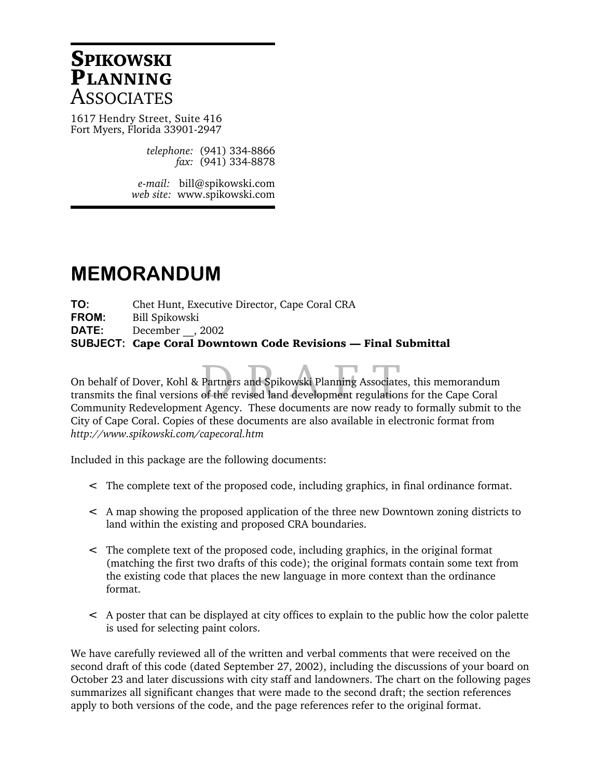# **SPIKOWSKI PLANNING ASSOCIATES**

1617 Hendry Street, Suite 416 Fort Myers, Florida 33901-2947

> *telephone:* (941) 334-8866 *fax:* (941) 334-8878

*e-mail:* bill@spikowski.com *web site:* www.spikowski.com

# **MEMORANDUM**

**TO:** Chet Hunt, Executive Director, Cape Coral CRA **FROM:** Bill Spikowski **DATE:** December , 2002 **SUBJECT: Cape Coral Downtown Code Revisions — Final Submittal**

Partners and Spikowski Planning Associate<br>of the revised land development regulation On behalf of Dover, Kohl & Partners and Spikowski Planning Associates, this memorandum transmits the final versions of the revised land development regulations for the Cape Coral Community Redevelopment Agency. These documents are now ready to formally submit to the City of Cape Coral. Copies of these documents are also available in electronic format from *http://www.spikowski.com/capecoral.htm*

Included in this package are the following documents:

- < The complete text of the proposed code, including graphics, in final ordinance format.
- < A map showing the proposed application of the three new Downtown zoning districts to land within the existing and proposed CRA boundaries.
- < The complete text of the proposed code, including graphics, in the original format (matching the first two drafts of this code); the original formats contain some text from the existing code that places the new language in more context than the ordinance format.
- < A poster that can be displayed at city offices to explain to the public how the color palette is used for selecting paint colors.

We have carefully reviewed all of the written and verbal comments that were received on the second draft of this code (dated September 27, 2002), including the discussions of your board on October 23 and later discussions with city staff and landowners. The chart on the following pages summarizes all significant changes that were made to the second draft; the section references apply to both versions of the code, and the page references refer to the original format.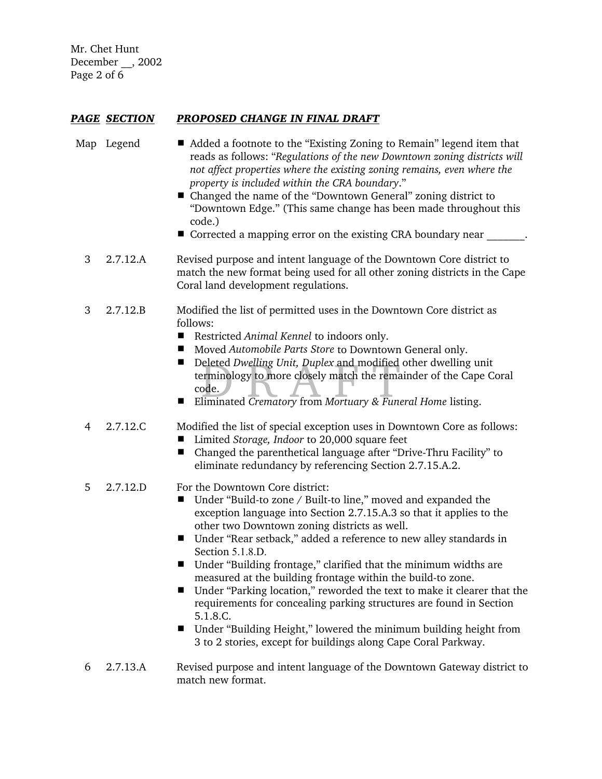Mr. Chet Hunt December \_\_, 2002 Page 2 of 6

# *PAGE SECTION PROPOSED CHANGE IN FINAL DRAFT*

- Map Legend **EXI** Added a footnote to the "Existing Zoning to Remain" legend item that reads as follows: "*Regulations of the new Downtown zoning districts will not affect properties where the existing zoning remains, even where the property is included within the CRA boundary*."
	- Changed the name of the "Downtown General" zoning district to "Downtown Edge." (This same change has been made throughout this code.)
	- Corrected a mapping error on the existing CRA boundary near
	- 3 2.7.12.A Revised purpose and intent language of the Downtown Core district to match the new format being used for all other zoning districts in the Cape Coral land development regulations.
	- 3 2.7.12.B Modified the list of permitted uses in the Downtown Core district as follows:
		- Restricted *Animal Kennel* to indoors only.
		- Moved *Automobile Parts Store* to Downtown General only.
		- Deleted *Dwelling Unit, Duplex* and modified other dwelling under the Capacode.<br>
		Eliminated *Crematory* from *Mortuary & Funeral Home* listing. ■ Deleted *Dwelling Unit, Duplex* and modified other dwelling unit terminology to more closely match the remainder of the Cape Coral code.
		-
	- 4 2.7.12.C Modified the list of special exception uses in Downtown Core as follows:
		- Limited *Storage, Indoor* to 20,000 square feet
		- $\blacksquare$  Changed the parenthetical language after "Drive-Thru Facility" to eliminate redundancy by referencing Section 2.7.15.A.2.
	- 5 2.7.12.D For the Downtown Core district:
		- Under "Build-to zone / Built-to line," moved and expanded the exception language into Section 2.7.15.A.3 so that it applies to the other two Downtown zoning districts as well.
		- Under "Rear setback," added a reference to new alley standards in Section 5.1.8.D.
		- $\blacksquare$  Under "Building frontage," clarified that the minimum widths are measured at the building frontage within the build-to zone.
		- Under "Parking location," reworded the text to make it clearer that the requirements for concealing parking structures are found in Section 5.1.8.C.
		- $\blacksquare$  Under "Building Height," lowered the minimum building height from 3 to 2 stories, except for buildings along Cape Coral Parkway.
	- 6 2.7.13.A Revised purpose and intent language of the Downtown Gateway district to match new format.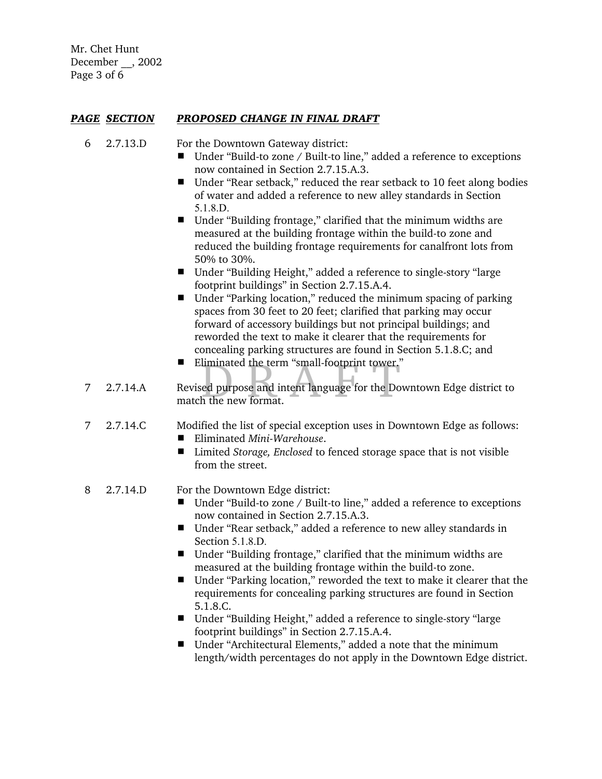Mr. Chet Hunt December \_\_, 2002 Page 3 of 6

# *PAGE SECTION PROPOSED CHANGE IN FINAL DRAFT*

- 6 2.7.13.D For the Downtown Gateway district:
	- Under "Build-to zone / Built-to line," added a reference to exceptions now contained in Section 2.7.15.A.3.
	- Under "Rear setback," reduced the rear setback to 10 feet along bodies of water and added a reference to new alley standards in Section 5.1.8.D.
	- $\blacksquare$  Under "Building frontage," clarified that the minimum widths are measured at the building frontage within the build-to zone and reduced the building frontage requirements for canalfront lots from 50% to 30%.
	- Under "Building Height," added a reference to single-story "large footprint buildings" in Section 2.7.15.A.4.
	- $\blacksquare$  Under "Parking location," reduced the minimum spacing of parking spaces from 30 feet to 20 feet; clarified that parking may occur forward of accessory buildings but not principal buildings; and reworded the text to make it clearer that the requirements for concealing parking structures are found in Section 5.1.8.C; and
	- Eliminated the term "small-footprint tower."
- liminated the term "small-footprint tower."<br>ed purpose and intent language for the Dc<br>h the new format. 7 2.7.14.A Revised purpose and intent language for the Downtown Edge district to match the new format.
- 7 2.7.14.C Modified the list of special exception uses in Downtown Edge as follows: # Eliminated *Mini-Warehouse*.
	- Limited *Storage, Enclosed* to fenced storage space that is not visible from the street.

# 8 2.7.14.D For the Downtown Edge district:

- Under "Build-to zone / Built-to line," added a reference to exceptions now contained in Section 2.7.15.A.3.
- Under "Rear setback," added a reference to new alley standards in Section 5.1.8.D.
- Under "Building frontage," clarified that the minimum widths are measured at the building frontage within the build-to zone.
- Under "Parking location," reworded the text to make it clearer that the requirements for concealing parking structures are found in Section 5.1.8.C.
- Under "Building Height," added a reference to single-story "large footprint buildings" in Section 2.7.15.A.4.
- Under "Architectural Elements," added a note that the minimum length/width percentages do not apply in the Downtown Edge district.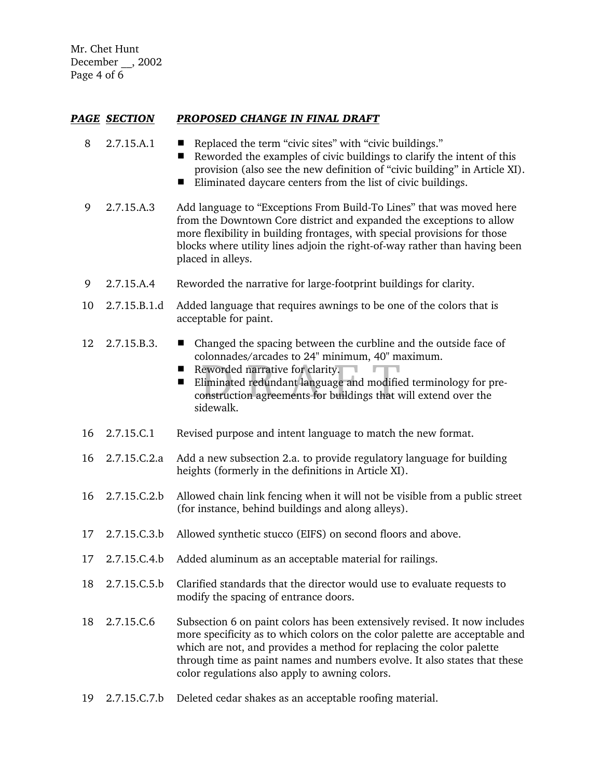Mr. Chet Hunt December \_\_, 2002 Page 4 of 6

# *PAGE SECTION PROPOSED CHANGE IN FINAL DRAFT*

- 8 2.7.15.A.1 Replaced the term "civic sites" with "civic buildings."
	- Reworded the examples of civic buildings to clarify the intent of this provision (also see the new definition of "civic building" in Article XI).
	- $\blacksquare$  Eliminated daycare centers from the list of civic buildings.
- 9 2.7.15.A.3 Add language to "Exceptions From Build-To Lines" that was moved here from the Downtown Core district and expanded the exceptions to allow more flexibility in building frontages, with special provisions for those blocks where utility lines adjoin the right-of-way rather than having been placed in alleys.
- 9 2.7.15.A.4 Reworded the narrative for large-footprint buildings for clarity.
- 10 2.7.15.B.1.d Added language that requires awnings to be one of the colors that is acceptable for paint.
- 12 2.7.15.B.3. # Changed the spacing between the curbline and the outside face of colonnades/arcades to 24" minimum, 40" maximum.
	- Reworded narrative for clarity.
	- Examples to  $\frac{1}{2}$ . Thumman, 19 m<br>eworded narrative for clarity.<br>liminated redundant language and modifie<br>onstruction agreements for buildings that v **Eliminated redundant language and modified terminology for pre**construction agreements for buildings that will extend over the sidewalk.
- 16 2.7.15.C.1 Revised purpose and intent language to match the new format.
- 16 2.7.15.C.2.a Add a new subsection 2.a. to provide regulatory language for building heights (formerly in the definitions in Article XI).
- 16 2.7.15.C.2.b Allowed chain link fencing when it will not be visible from a public street (for instance, behind buildings and along alleys).
- 17 2.7.15.C.3.b Allowed synthetic stucco (EIFS) on second floors and above.
- 17 2.7.15.C.4.b Added aluminum as an acceptable material for railings.
- 18 2.7.15.C.5.b Clarified standards that the director would use to evaluate requests to modify the spacing of entrance doors.
- 18 2.7.15.C.6 Subsection 6 on paint colors has been extensively revised. It now includes more specificity as to which colors on the color palette are acceptable and which are not, and provides a method for replacing the color palette through time as paint names and numbers evolve. It also states that these color regulations also apply to awning colors.
- 19 2.7.15.C.7.b Deleted cedar shakes as an acceptable roofing material.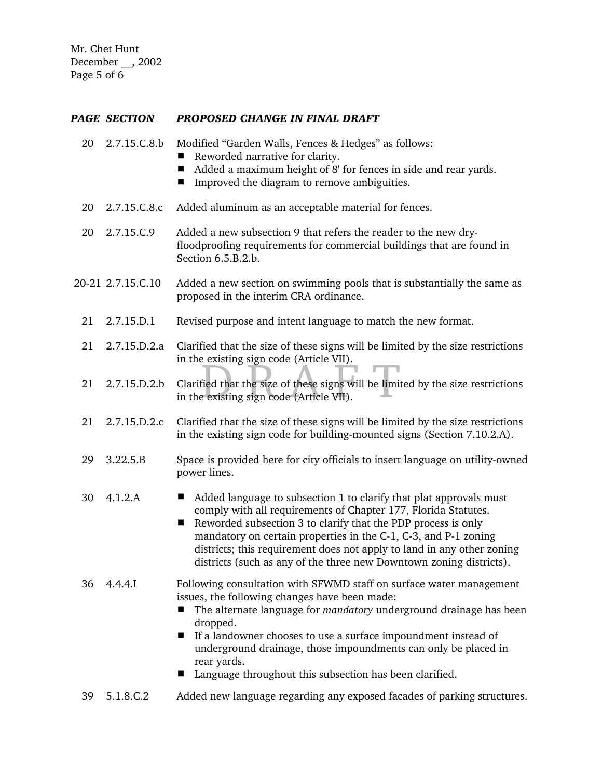Mr. Chet Hunt December \_\_, 2002 Page 5 of 6

### *PAGE SECTION PROPOSED CHANGE IN FINAL DRAFT*

- 20 2.7.15.C.8.b Modified "Garden Walls, Fences & Hedges" as follows:
	- Reworded narrative for clarity.
		- Added a maximum height of 8' for fences in side and rear yards.
		- Improved the diagram to remove ambiguities.
- 20 2.7.15.C.8.c Added aluminum as an acceptable material for fences.
- 20 2.7.15.C.9 Added a new subsection 9 that refers the reader to the new dryfloodproofing requirements for commercial buildings that are found in Section 6.5.B.2.b.
- 20-21 2.7.15.C.10 Added a new section on swimming pools that is substantially the same as proposed in the interim CRA ordinance.
	- 21 2.7.15.D.1 Revised purpose and intent language to match the new format.
	- 21 2.7.15.D.2.a Clarified that the size of these signs will be limited by the size restrictions in the existing sign code (Article VII).
	- Existing sign code (Afficie VII).<br>Fied that the size of these signs will be limi 21 2.7.15.D.2.b Clarified that the size of these signs will be limited by the size restrictions in the existing sign code (Article VII).
	- 21 2.7.15.D.2.c Clarified that the size of these signs will be limited by the size restrictions in the existing sign code for building-mounted signs (Section 7.10.2.A).
	- 29 3.22.5.B Space is provided here for city officials to insert language on utility-owned power lines.
	- 30  $4.1.2.A$   $\blacksquare$  Added language to subsection 1 to clarify that plat approvals must comply with all requirements of Chapter 177, Florida Statutes.
		- $\blacksquare$  Reworded subsection 3 to clarify that the PDP process is only mandatory on certain properties in the C-1, C-3, and P-1 zoning districts; this requirement does not apply to land in any other zoning districts (such as any of the three new Downtown zoning districts).
	- 36 4.4.4.I Following consultation with SFWMD staff on surface water management issues, the following changes have been made:
		- The alternate language for *mandatory* underground drainage has been dropped.
		- If a landowner chooses to use a surface impoundment instead of underground drainage, those impoundments can only be placed in rear yards.
		- Language throughout this subsection has been clarified.
	- 39 5.1.8.C.2 Added new language regarding any exposed facades of parking structures.